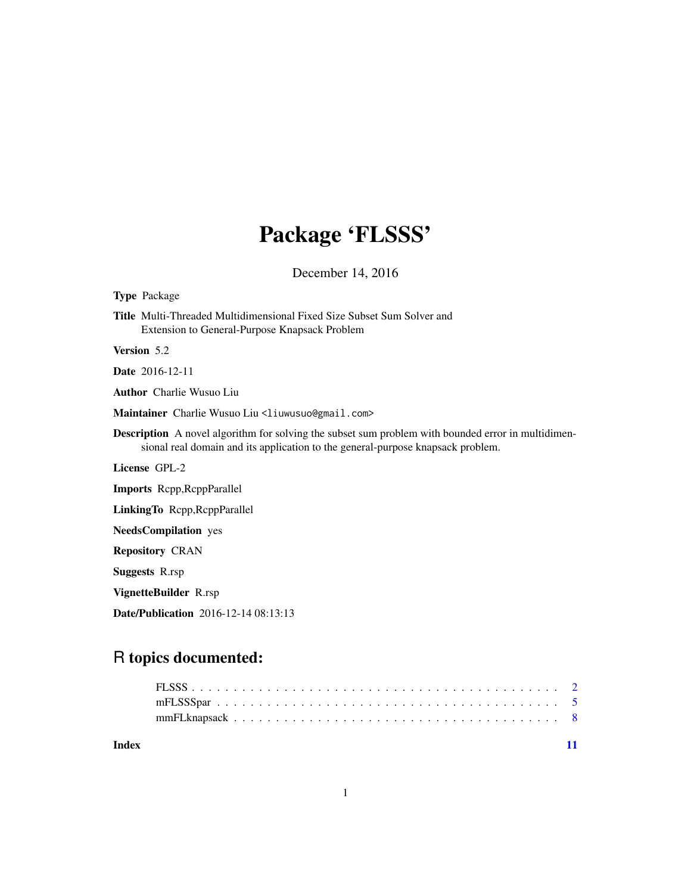## Package 'FLSSS'

December 14, 2016

Type Package

Title Multi-Threaded Multidimensional Fixed Size Subset Sum Solver and Extension to General-Purpose Knapsack Problem

Version 5.2

Date 2016-12-11

Author Charlie Wusuo Liu

Maintainer Charlie Wusuo Liu <liuwusuo@gmail.com>

Description A novel algorithm for solving the subset sum problem with bounded error in multidimensional real domain and its application to the general-purpose knapsack problem.

License GPL-2

Imports Rcpp,RcppParallel

LinkingTo Rcpp,RcppParallel

NeedsCompilation yes

Repository CRAN

Suggests R.rsp

VignetteBuilder R.rsp

Date/Publication 2016-12-14 08:13:13

### R topics documented:

| Index |  |  |  |  |  |  |  |  |  |  |  |  |  |  |  |  |  |
|-------|--|--|--|--|--|--|--|--|--|--|--|--|--|--|--|--|--|
|       |  |  |  |  |  |  |  |  |  |  |  |  |  |  |  |  |  |
|       |  |  |  |  |  |  |  |  |  |  |  |  |  |  |  |  |  |
|       |  |  |  |  |  |  |  |  |  |  |  |  |  |  |  |  |  |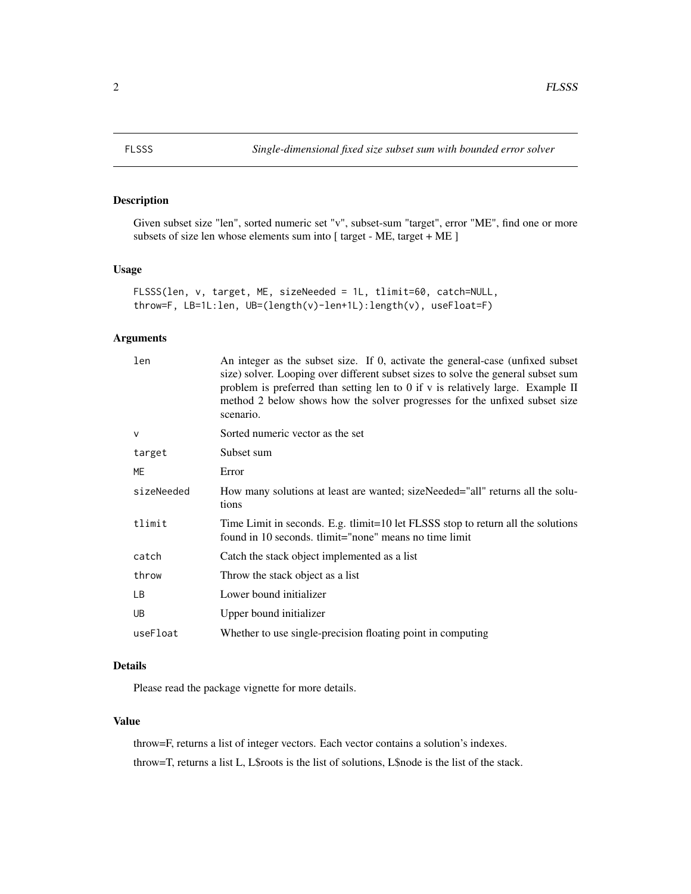<span id="page-1-0"></span>

#### Description

Given subset size "len", sorted numeric set "v", subset-sum "target", error "ME", find one or more subsets of size len whose elements sum into [ target - ME, target + ME ]

#### Usage

```
FLSSS(len, v, target, ME, sizeNeeded = 1L, tlimit=60, catch=NULL,
throw=F, LB=1L:len, UB=(length(v)-len+1L):length(v), useFloat=F)
```
#### Arguments

| len          | An integer as the subset size. If 0, activate the general-case (unfixed subset<br>size) solver. Looping over different subset sizes to solve the general subset sum<br>problem is preferred than setting len to 0 if $v$ is relatively large. Example II<br>method 2 below shows how the solver progresses for the unfixed subset size<br>scenario. |
|--------------|-----------------------------------------------------------------------------------------------------------------------------------------------------------------------------------------------------------------------------------------------------------------------------------------------------------------------------------------------------|
| $\mathsf{V}$ | Sorted numeric vector as the set                                                                                                                                                                                                                                                                                                                    |
| target       | Subset sum                                                                                                                                                                                                                                                                                                                                          |
| ME           | Error                                                                                                                                                                                                                                                                                                                                               |
| sizeNeeded   | How many solutions at least are wanted; sizeNeeded="all" returns all the solu-<br>tions                                                                                                                                                                                                                                                             |
| tlimit       | Time Limit in seconds. E.g. tlimit=10 let FLSSS stop to return all the solutions<br>found in 10 seconds, tlimit="none" means no time limit                                                                                                                                                                                                          |
| catch        | Catch the stack object implemented as a list                                                                                                                                                                                                                                                                                                        |
| throw        | Throw the stack object as a list                                                                                                                                                                                                                                                                                                                    |
| LB.          | Lower bound initializer                                                                                                                                                                                                                                                                                                                             |
| UB.          | Upper bound initializer                                                                                                                                                                                                                                                                                                                             |
| useFloat     | Whether to use single-precision floating point in computing                                                                                                                                                                                                                                                                                         |

#### Details

Please read the package vignette for more details.

#### Value

throw=F, returns a list of integer vectors. Each vector contains a solution's indexes. throw=T, returns a list L, L\$roots is the list of solutions, L\$node is the list of the stack.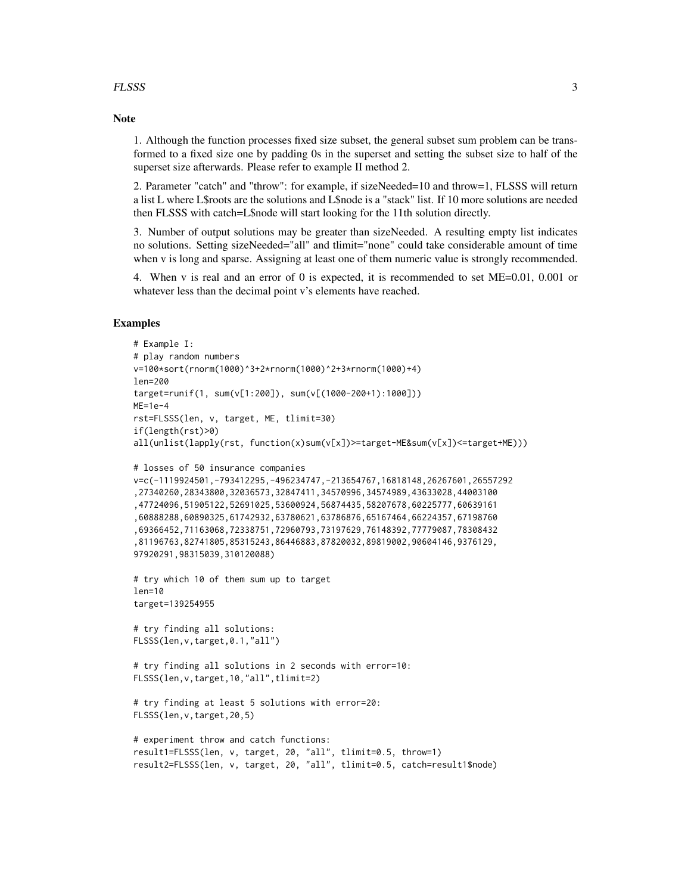#### FLSSS 3

#### **Note**

1. Although the function processes fixed size subset, the general subset sum problem can be transformed to a fixed size one by padding 0s in the superset and setting the subset size to half of the superset size afterwards. Please refer to example II method 2.

2. Parameter "catch" and "throw": for example, if sizeNeeded=10 and throw=1, FLSSS will return a list L where L\$roots are the solutions and L\$node is a "stack" list. If 10 more solutions are needed then FLSSS with catch=L\$node will start looking for the 11th solution directly.

3. Number of output solutions may be greater than sizeNeeded. A resulting empty list indicates no solutions. Setting sizeNeeded="all" and tlimit="none" could take considerable amount of time when v is long and sparse. Assigning at least one of them numeric value is strongly recommended.

4. When v is real and an error of 0 is expected, it is recommended to set ME=0.01, 0.001 or whatever less than the decimal point v's elements have reached.

#### Examples

```
# Example I:
# play random numbers
v=100*sort(rnorm(1000)^3+2*rnorm(1000)^2+3*rnorm(1000)+4)
len=200
target=runif(1, sum(v[1:200]), sum(v[(1000-200+1):1000]))
ME=1e-4rst=FLSSS(len, v, target, ME, tlimit=30)
if(length(rst)>0)
all(unlist(lapply(rst, function(x)sum(v[x])>=target-ME&sum(v[x])<=target+ME)))
# losses of 50 insurance companies
v=c(-1119924501,-793412295,-496234747,-213654767,16818148,26267601,26557292
,27340260,28343800,32036573,32847411,34570996,34574989,43633028,44003100
,47724096,51905122,52691025,53600924,56874435,58207678,60225777,60639161
,60888288,60890325,61742932,63780621,63786876,65167464,66224357,67198760
,69366452,71163068,72338751,72960793,73197629,76148392,77779087,78308432
,81196763,82741805,85315243,86446883,87820032,89819002,90604146,9376129,
97920291,98315039,310120088)
# try which 10 of them sum up to target
len=10
target=139254955
# try finding all solutions:
FLSSS(len,v,target,0.1,"all")
# try finding all solutions in 2 seconds with error=10:
FLSSS(len,v,target,10,"all",tlimit=2)
# try finding at least 5 solutions with error=20:
FLSSS(len,v,target,20,5)
# experiment throw and catch functions:
result1=FLSSS(len, v, target, 20, "all", tlimit=0.5, throw=1)
result2=FLSSS(len, v, target, 20, "all", tlimit=0.5, catch=result1$node)
```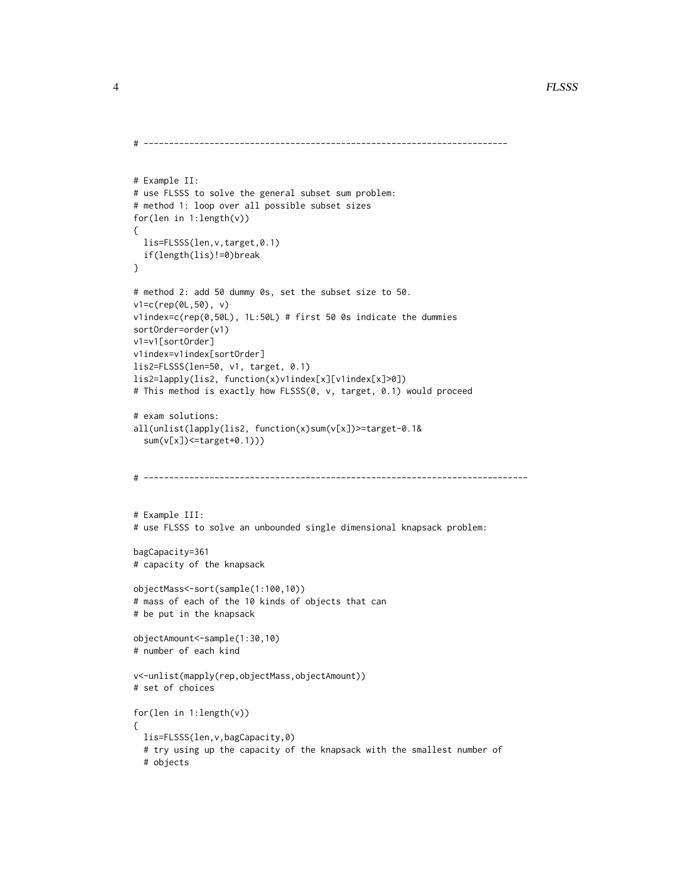```
# ------------------------------------------------------------------------
# Example II:
# use FLSSS to solve the general subset sum problem:
# method 1: loop over all possible subset sizes
for(len in 1:length(v))
{
  lis=FLSSS(len,v,target,0.1)
  if(length(lis)!=0)break
}
# method 2: add 50 dummy 0s, set the subset size to 50.
v1=c(rep(0L,50), v)
v1index=c(rep(0,50L), 1L:50L) # first 50 0s indicate the dummies
sortOrder=order(v1)
v1=v1[sortOrder]
v1index=v1index[sortOrder]
lis2=FLSSS(len=50, v1, target, 0.1)
lis2=lapply(lis2, function(x)v1index[x][v1index[x]>0])
# This method is exactly how FLSSS(0, v, target, 0.1) would proceed
# exam solutions:
all(unlist(lapply(lis2, function(x)sum(v[x])>=target-0.1&
  sum(v[x])<=target+0.1)))
# ----------------------------------------------------------------------------
# Example III:
# use FLSSS to solve an unbounded single dimensional knapsack problem:
bagCapacity=361
# capacity of the knapsack
objectMass<-sort(sample(1:100,10))
# mass of each of the 10 kinds of objects that can
# be put in the knapsack
objectAmount<-sample(1:30,10)
# number of each kind
v<-unlist(mapply(rep,objectMass,objectAmount))
# set of choices
for(len in 1:length(v))
{
  lis=FLSSS(len,v,bagCapacity,0)
  # try using up the capacity of the knapsack with the smallest number of
  # objects
```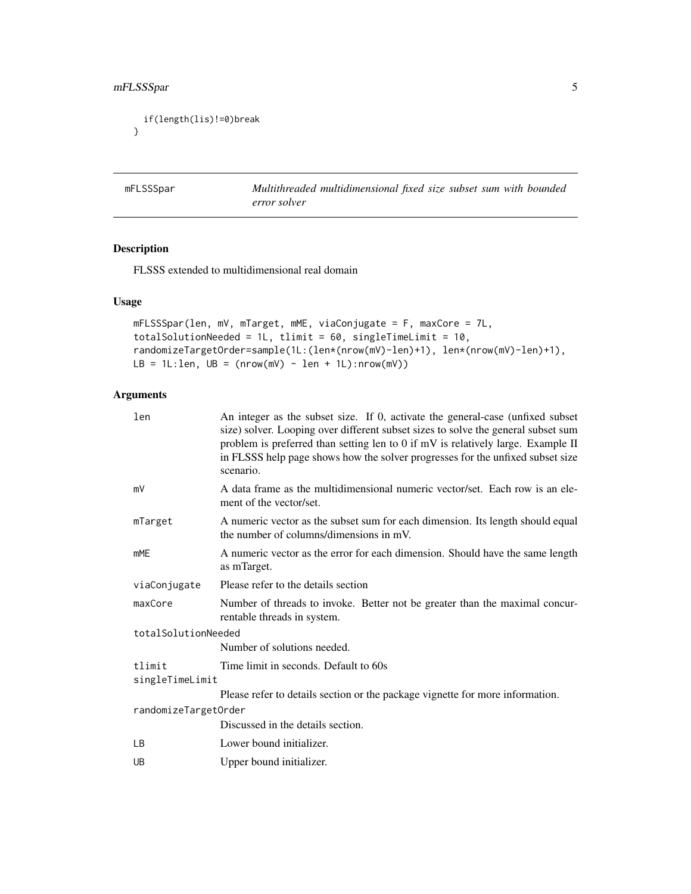```
if(length(lis)!=0)break
}
```
mFLSSSpar *Multithreaded multidimensional fixed size subset sum with bounded error solver*

#### Description

FLSSS extended to multidimensional real domain

#### Usage

```
mFLSSSpar(len, mV, mTarget, mME, viaConjugate = F, maxCore = 7L,
totalSolutionNeeded = 1L, tlimit = 60, singleTimeLimit = 10,
randomizeTargetOrder=sample(1L:(len*(nrow(mV)-len)+1), len*(nrow(mV)-len)+1),
LB = 1L:len, UB = (nrow(mV) - len + 1L):nrow(mV))
```
#### Arguments

| len                       | An integer as the subset size. If 0, activate the general-case (unfixed subset<br>size) solver. Looping over different subset sizes to solve the general subset sum<br>problem is preferred than setting len to 0 if mV is relatively large. Example II<br>in FLSSS help page shows how the solver progresses for the unfixed subset size<br>scenario. |
|---------------------------|--------------------------------------------------------------------------------------------------------------------------------------------------------------------------------------------------------------------------------------------------------------------------------------------------------------------------------------------------------|
| mV                        | A data frame as the multidimensional numeric vector/set. Each row is an ele-<br>ment of the vector/set.                                                                                                                                                                                                                                                |
| mTarget                   | A numeric vector as the subset sum for each dimension. Its length should equal<br>the number of columns/dimensions in mV.                                                                                                                                                                                                                              |
| <b>mME</b>                | A numeric vector as the error for each dimension. Should have the same length<br>as mTarget.                                                                                                                                                                                                                                                           |
| viaConjugate              | Please refer to the details section                                                                                                                                                                                                                                                                                                                    |
| maxCore                   | Number of threads to invoke. Better not be greater than the maximal concur-<br>rentable threads in system.                                                                                                                                                                                                                                             |
| totalSolutionNeeded       |                                                                                                                                                                                                                                                                                                                                                        |
|                           | Number of solutions needed.                                                                                                                                                                                                                                                                                                                            |
| tlimit<br>singleTimeLimit | Time limit in seconds. Default to 60s                                                                                                                                                                                                                                                                                                                  |
|                           | Please refer to details section or the package vignette for more information.                                                                                                                                                                                                                                                                          |
| randomizeTargetOrder      |                                                                                                                                                                                                                                                                                                                                                        |
|                           | Discussed in the details section.                                                                                                                                                                                                                                                                                                                      |
| LВ                        | Lower bound initializer.                                                                                                                                                                                                                                                                                                                               |
| UB                        | Upper bound initializer.                                                                                                                                                                                                                                                                                                                               |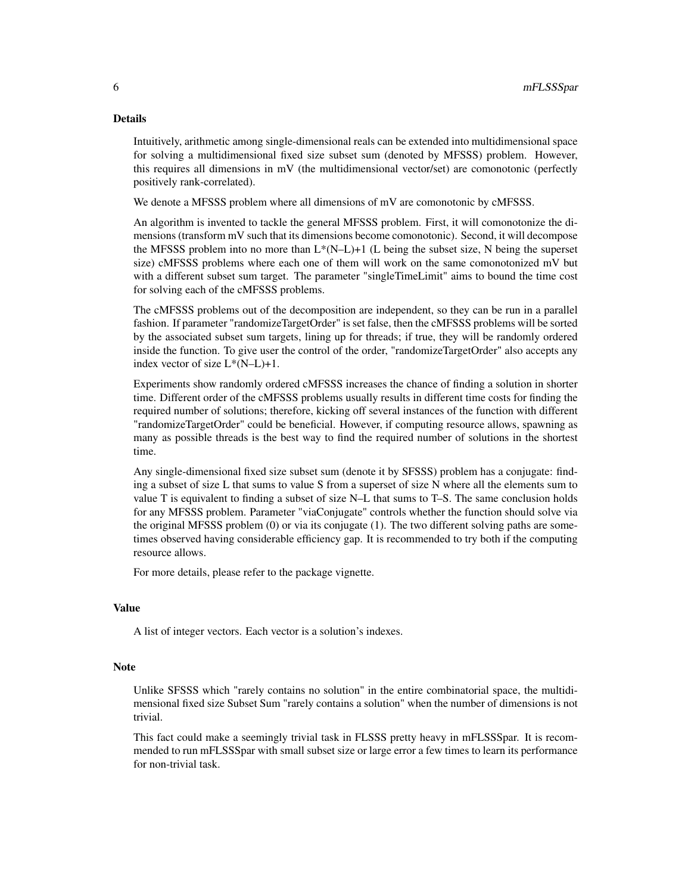#### Details

Intuitively, arithmetic among single-dimensional reals can be extended into multidimensional space for solving a multidimensional fixed size subset sum (denoted by MFSSS) problem. However, this requires all dimensions in mV (the multidimensional vector/set) are comonotonic (perfectly positively rank-correlated).

We denote a MFSSS problem where all dimensions of mV are comonotonic by cMFSSS.

An algorithm is invented to tackle the general MFSSS problem. First, it will comonotonize the dimensions (transform mV such that its dimensions become comonotonic). Second, it will decompose the MFSSS problem into no more than  $L^*(N-L)+1$  (L being the subset size, N being the superset size) cMFSSS problems where each one of them will work on the same comonotonized mV but with a different subset sum target. The parameter "singleTimeLimit" aims to bound the time cost for solving each of the cMFSSS problems.

The cMFSSS problems out of the decomposition are independent, so they can be run in a parallel fashion. If parameter "randomizeTargetOrder" is set false, then the cMFSSS problems will be sorted by the associated subset sum targets, lining up for threads; if true, they will be randomly ordered inside the function. To give user the control of the order, "randomizeTargetOrder" also accepts any index vector of size L\*(N–L)+1.

Experiments show randomly ordered cMFSSS increases the chance of finding a solution in shorter time. Different order of the cMFSSS problems usually results in different time costs for finding the required number of solutions; therefore, kicking off several instances of the function with different "randomizeTargetOrder" could be beneficial. However, if computing resource allows, spawning as many as possible threads is the best way to find the required number of solutions in the shortest time.

Any single-dimensional fixed size subset sum (denote it by SFSSS) problem has a conjugate: finding a subset of size L that sums to value S from a superset of size N where all the elements sum to value T is equivalent to finding a subset of size N–L that sums to T–S. The same conclusion holds for any MFSSS problem. Parameter "viaConjugate" controls whether the function should solve via the original MFSSS problem (0) or via its conjugate (1). The two different solving paths are sometimes observed having considerable efficiency gap. It is recommended to try both if the computing resource allows.

For more details, please refer to the package vignette.

#### Value

A list of integer vectors. Each vector is a solution's indexes.

#### Note

Unlike SFSSS which "rarely contains no solution" in the entire combinatorial space, the multidimensional fixed size Subset Sum "rarely contains a solution" when the number of dimensions is not trivial.

This fact could make a seemingly trivial task in FLSSS pretty heavy in mFLSSSpar. It is recommended to run mFLSSSpar with small subset size or large error a few times to learn its performance for non-trivial task.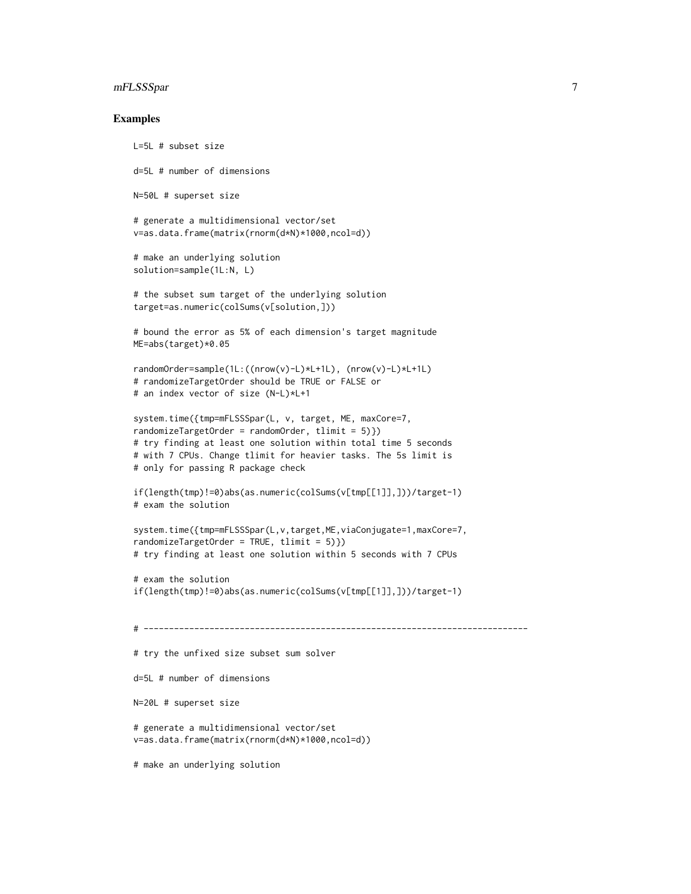#### mFLSSSpar 7

#### Examples

```
L=5L # subset size
d=5L # number of dimensions
N=50L # superset size
# generate a multidimensional vector/set
v=as.data.frame(matrix(rnorm(d*N)*1000,ncol=d))
# make an underlying solution
solution=sample(1L:N, L)
# the subset sum target of the underlying solution
target=as.numeric(colSums(v[solution,]))
# bound the error as 5% of each dimension's target magnitude
ME=abs(target)*0.05
randomOrder=sample(1L:((nrow(v)-L)*L+1L), (nrow(v)-L)*L+1L)
# randomizeTargetOrder should be TRUE or FALSE or
# an index vector of size (N-L)*L+1
system.time({tmp=mFLSSSpar(L, v, target, ME, maxCore=7,
randomizeTargetOrder = randomOrder, tlimit = 5)})
# try finding at least one solution within total time 5 seconds
# with 7 CPUs. Change tlimit for heavier tasks. The 5s limit is
# only for passing R package check
if(length(tmp)!=0)abs(as.numeric(colSums(v[tmp[[1]],]))/target-1)
# exam the solution
system.time({tmp=mFLSSSpar(L,v,target,ME,viaConjugate=1,maxCore=7,
randomizeTargetOrder = TRUE, tlimit = 5)})
# try finding at least one solution within 5 seconds with 7 CPUs
# exam the solution
if(length(tmp)!=0)abs(as.numeric(colSums(v[tmp[[1]],]))/target-1)
# ----------------------------------------------------------------------------
# try the unfixed size subset sum solver
d=5L # number of dimensions
N=20L # superset size
# generate a multidimensional vector/set
v=as.data.frame(matrix(rnorm(d*N)*1000,ncol=d))
```
# make an underlying solution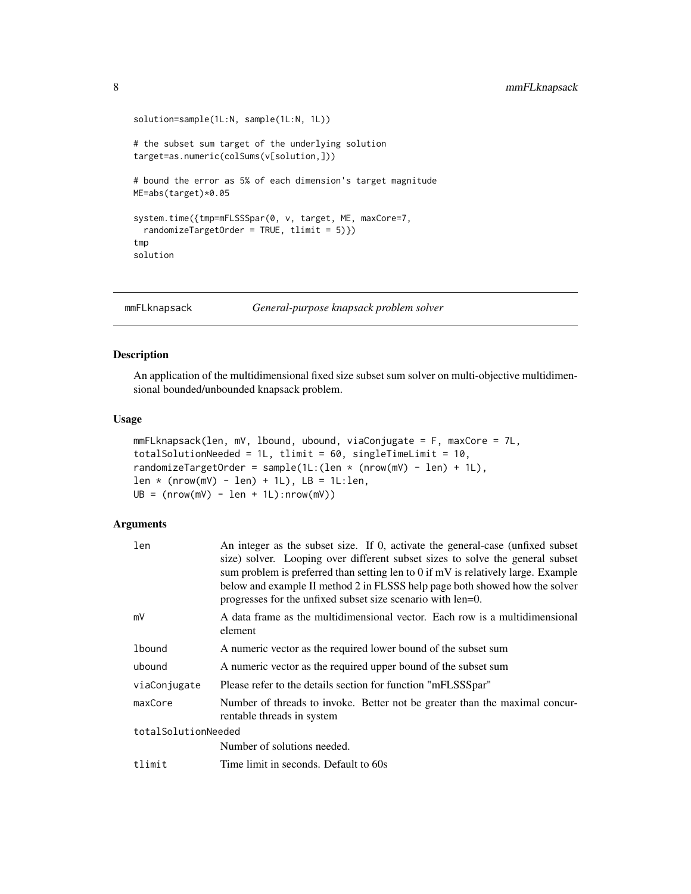```
solution=sample(1L:N, sample(1L:N, 1L))
# the subset sum target of the underlying solution
target=as.numeric(colSums(v[solution,]))
# bound the error as 5% of each dimension's target magnitude
ME=abs(target)*0.05
system.time({tmp=mFLSSSpar(0, v, target, ME, maxCore=7,
  randomizeTargetOrder = TRUE, tlimit = 5)})
tmp
solution
```
mmFLknapsack *General-purpose knapsack problem solver*

#### Description

An application of the multidimensional fixed size subset sum solver on multi-objective multidimensional bounded/unbounded knapsack problem.

#### Usage

```
mmFLknapsack(len, mV, lbound, ubound, viaConjugate = F, maxCore = 7L,
totalSolutionNeeded = 1L, tlimit = 60, singleTimeLimit = 10,
randomizeTargetOrder = sample(1L:(len * (nrow(mV) - len) + 1L),
len * (nrow(mV) - len) + 1L), LB = 1L:len,
UB = (nrow(mV) - len + 1L): nrow(mV))
```
#### Arguments

| len                 | An integer as the subset size. If 0, activate the general-case (unfixed subset<br>size) solver. Looping over different subset sizes to solve the general subset<br>sum problem is preferred than setting len to 0 if mV is relatively large. Example<br>below and example II method 2 in FLSSS help page both showed how the solver<br>progresses for the unfixed subset size scenario with len=0. |  |  |  |
|---------------------|----------------------------------------------------------------------------------------------------------------------------------------------------------------------------------------------------------------------------------------------------------------------------------------------------------------------------------------------------------------------------------------------------|--|--|--|
| mV                  | A data frame as the multidimensional vector. Each row is a multidimensional<br>element                                                                                                                                                                                                                                                                                                             |  |  |  |
| <b>lbound</b>       | A numeric vector as the required lower bound of the subset sum                                                                                                                                                                                                                                                                                                                                     |  |  |  |
| ubound              | A numeric vector as the required upper bound of the subset sum                                                                                                                                                                                                                                                                                                                                     |  |  |  |
| viaConjugate        | Please refer to the details section for function "mFLSSSpar"                                                                                                                                                                                                                                                                                                                                       |  |  |  |
| maxCore             | Number of threads to invoke. Better not be greater than the maximal concur-<br>rentable threads in system                                                                                                                                                                                                                                                                                          |  |  |  |
| totalSolutionNeeded |                                                                                                                                                                                                                                                                                                                                                                                                    |  |  |  |
|                     | Number of solutions needed.                                                                                                                                                                                                                                                                                                                                                                        |  |  |  |
| tlimit              | Time limit in seconds. Default to 60s                                                                                                                                                                                                                                                                                                                                                              |  |  |  |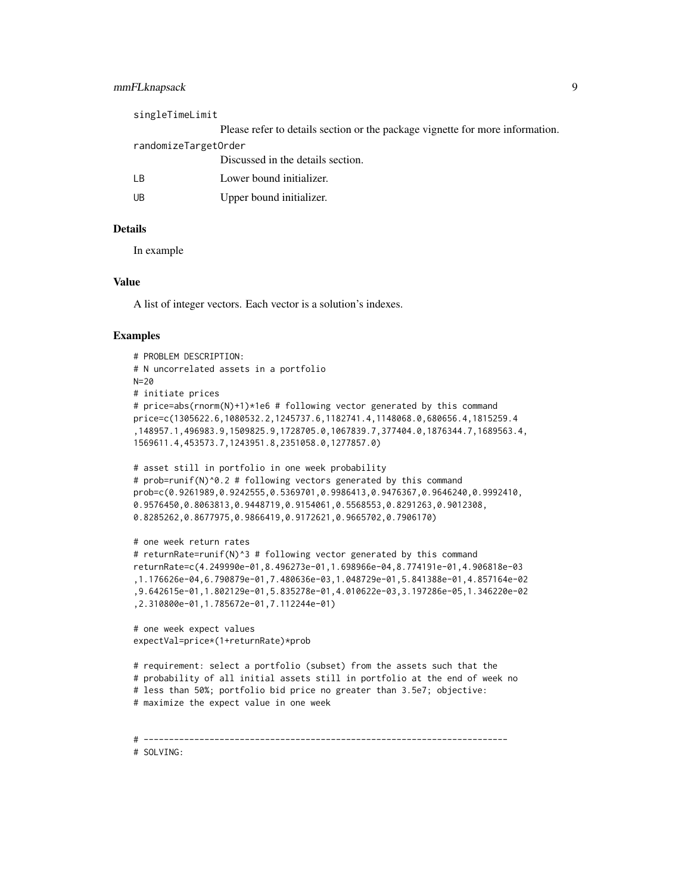#### mmFLknapsack 9

| singleTimeLimit      |                                                                               |
|----------------------|-------------------------------------------------------------------------------|
|                      | Please refer to details section or the package vignette for more information. |
| randomizeTargetOrder |                                                                               |
|                      | Discussed in the details section.                                             |
| LВ                   | Lower bound initializer.                                                      |
| UB                   | Upper bound initializer.                                                      |
|                      |                                                                               |

#### Details

In example

#### Value

A list of integer vectors. Each vector is a solution's indexes.

#### Examples

```
# PROBLEM DESCRIPTION:
# N uncorrelated assets in a portfolio
N=20
# initiate prices
# price=abs(rnorm(N)+1)*1e6 # following vector generated by this command
price=c(1305622.6,1080532.2,1245737.6,1182741.4,1148068.0,680656.4,1815259.4
,148957.1,496983.9,1509825.9,1728705.0,1067839.7,377404.0,1876344.7,1689563.4,
1569611.4,453573.7,1243951.8,2351058.0,1277857.0)
# asset still in portfolio in one week probability
# prob=runif(N)^0.2 # following vectors generated by this command
prob=c(0.9261989,0.9242555,0.5369701,0.9986413,0.9476367,0.9646240,0.9992410,
0.9576450,0.8063813,0.9448719,0.9154061,0.5568553,0.8291263,0.9012308,
0.8285262,0.8677975,0.9866419,0.9172621,0.9665702,0.7906170)
# one week return rates
# returnRate=runif(N)^3 # following vector generated by this command
returnRate=c(4.249990e-01,8.496273e-01,1.698966e-04,8.774191e-01,4.906818e-03
,1.176626e-04,6.790879e-01,7.480636e-03,1.048729e-01,5.841388e-01,4.857164e-02
,9.642615e-01,1.802129e-01,5.835278e-01,4.010622e-03,3.197286e-05,1.346220e-02
,2.310800e-01,1.785672e-01,7.112244e-01)
# one week expect values
expectVal=price*(1+returnRate)*prob
# requirement: select a portfolio (subset) from the assets such that the
# probability of all initial assets still in portfolio at the end of week no
# less than 50%; portfolio bid price no greater than 3.5e7; objective:
# maximize the expect value in one week
# ------------------------------------------------------------------------
```
# SOLVING: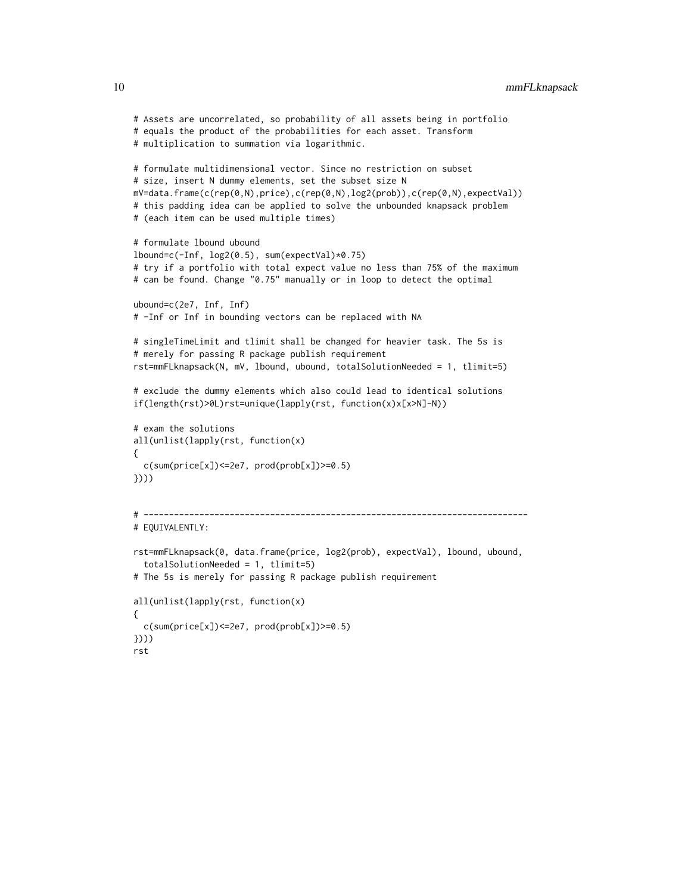```
# Assets are uncorrelated, so probability of all assets being in portfolio
# equals the product of the probabilities for each asset. Transform
# multiplication to summation via logarithmic.
# formulate multidimensional vector. Since no restriction on subset
# size, insert N dummy elements, set the subset size N
mV=data.frame(c(rep(0,N),price),c(rep(0,N),log2(prob)),c(rep(0,N),expectVal))
# this padding idea can be applied to solve the unbounded knapsack problem
# (each item can be used multiple times)
# formulate lbound ubound
lbound=c(-Inf, log2(0.5), sum(expectVal)*0.75)
# try if a portfolio with total expect value no less than 75% of the maximum
# can be found. Change "0.75" manually or in loop to detect the optimal
ubound=c(2e7, Inf, Inf)
# -Inf or Inf in bounding vectors can be replaced with NA
# singleTimeLimit and tlimit shall be changed for heavier task. The 5s is
# merely for passing R package publish requirement
rst=mmFLknapsack(N, mV, lbound, ubound, totalSolutionNeeded = 1, tlimit=5)
# exclude the dummy elements which also could lead to identical solutions
if(length(rst)>0L)rst=unique(lapply(rst, function(x)x[x>N]-N))
# exam the solutions
all(unlist(lapply(rst, function(x)
{
 c(sum(price[x])<=2e7, prod(prob[x])>=0.5)
})))
# ----------------------------------------------------------------------------
# EQUIVALENTLY:
rst=mmFLknapsack(0, data.frame(price, log2(prob), expectVal), lbound, ubound,
  totalSolutionNeeded = 1, tlimit=5)
# The 5s is merely for passing R package publish requirement
all(unlist(lapply(rst, function(x)
{
 c(sum(price[x])<=2e7, prod(prob[x])>=0.5)
})))
rst
```